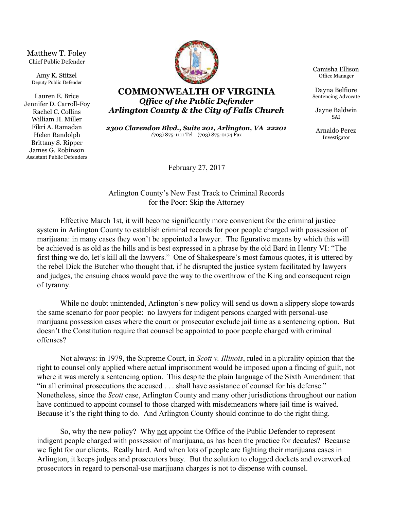Matthew T. Foley Chief Public Defender

Amy K. Stitzel Deputy Public Defender

Lauren E. Brice Jennifer D. Carroll-Foy Rachel C. Collins William H. Miller Fikri A. Ramadan Helen Randolph Brittany S. Ripper James G. Robinson Assistant Public Defenders



**COMMONWEALTH OF VIRGINIA** *Office of the Public Defender Arlington County & the City of Falls Church*

*2300 Clarendon Blvd., Suite 201, Arlington, VA 22201 (*703) 875-1111 Tel (703) 875-0174 Fax

February 27, 2017

Arlington County's New Fast Track to Criminal Records for the Poor: Skip the Attorney

Effective March 1st, it will become significantly more convenient for the criminal justice system in Arlington County to establish criminal records for poor people charged with possession of marijuana: in many cases they won't be appointed a lawyer. The figurative means by which this will be achieved is as old as the hills and is best expressed in a phrase by the old Bard in Henry VI: "The first thing we do, let's kill all the lawyers." One of Shakespeare's most famous quotes, it is uttered by the rebel Dick the Butcher who thought that, if he disrupted the justice system facilitated by lawyers and judges, the ensuing chaos would pave the way to the overthrow of the King and consequent reign of tyranny.

While no doubt unintended, Arlington's new policy will send us down a slippery slope towards the same scenario for poor people: no lawyers for indigent persons charged with personal-use marijuana possession cases where the court or prosecutor exclude jail time as a sentencing option. But doesn't the Constitution require that counsel be appointed to poor people charged with criminal offenses?

Not always: in 1979, the Supreme Court, in *Scott v. Illinois*, ruled in a plurality opinion that the right to counsel only applied where actual imprisonment would be imposed upon a finding of guilt, not where it was merely a sentencing option. This despite the plain language of the Sixth Amendment that "in all criminal prosecutions the accused . . . shall have assistance of counsel for his defense." Nonetheless, since the *Scott* case, Arlington County and many other jurisdictions throughout our nation have continued to appoint counsel to those charged with misdemeanors where jail time is waived. Because it's the right thing to do. And Arlington County should continue to do the right thing.

So, why the new policy? Why not appoint the Office of the Public Defender to represent indigent people charged with possession of marijuana, as has been the practice for decades? Because we fight for our clients. Really hard. And when lots of people are fighting their marijuana cases in Arlington, it keeps judges and prosecutors busy. But the solution to clogged dockets and overworked prosecutors in regard to personal-use marijuana charges is not to dispense with counsel.

Camisha Ellison Office Manager

Dayna Belfiore Sentencing Advocate

Jayne Baldwin SAI

Arnaldo Perez Investigator